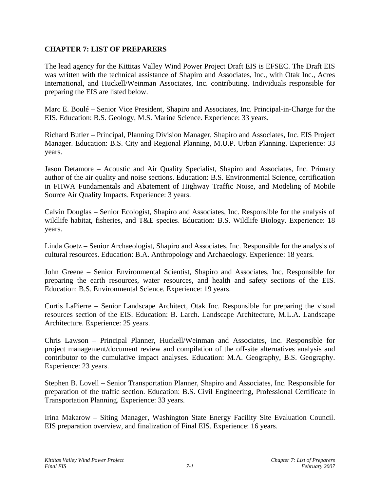## **CHAPTER 7: LIST OF PREPARERS**

The lead agency for the Kittitas Valley Wind Power Project Draft EIS is EFSEC. The Draft EIS was written with the technical assistance of Shapiro and Associates, Inc., with Otak Inc., Acres International, and Huckell/Weinman Associates, Inc. contributing. Individuals responsible for preparing the EIS are listed below.

Marc E. Boulé – Senior Vice President, Shapiro and Associates, Inc. Principal-in-Charge for the EIS. Education: B.S. Geology, M.S. Marine Science. Experience: 33 years.

Richard Butler – Principal, Planning Division Manager, Shapiro and Associates, Inc. EIS Project Manager. Education: B.S. City and Regional Planning, M.U.P. Urban Planning. Experience: 33 years.

Jason Detamore – Acoustic and Air Quality Specialist, Shapiro and Associates, Inc. Primary author of the air quality and noise sections. Education: B.S. Environmental Science, certification in FHWA Fundamentals and Abatement of Highway Traffic Noise, and Modeling of Mobile Source Air Quality Impacts. Experience: 3 years.

Calvin Douglas – Senior Ecologist, Shapiro and Associates, Inc. Responsible for the analysis of wildlife habitat, fisheries, and T&E species. Education: B.S. Wildlife Biology. Experience: 18 years.

Linda Goetz – Senior Archaeologist, Shapiro and Associates, Inc. Responsible for the analysis of cultural resources. Education: B.A. Anthropology and Archaeology. Experience: 18 years.

John Greene – Senior Environmental Scientist, Shapiro and Associates, Inc. Responsible for preparing the earth resources, water resources, and health and safety sections of the EIS. Education: B.S. Environmental Science. Experience: 19 years.

Curtis LaPierre – Senior Landscape Architect, Otak Inc. Responsible for preparing the visual resources section of the EIS. Education: B. Larch. Landscape Architecture, M.L.A. Landscape Architecture. Experience: 25 years.

Chris Lawson – Principal Planner, Huckell/Weinman and Associates, Inc. Responsible for project management/document review and compilation of the off-site alternatives analysis and contributor to the cumulative impact analyses. Education: M.A. Geography, B.S. Geography. Experience: 23 years.

Stephen B. Lovell – Senior Transportation Planner, Shapiro and Associates, Inc. Responsible for preparation of the traffic section. Education: B.S. Civil Engineering, Professional Certificate in Transportation Planning. Experience: 33 years.

Irina Makarow – Siting Manager, Washington State Energy Facility Site Evaluation Council. EIS preparation overview, and finalization of Final EIS. Experience: 16 years.